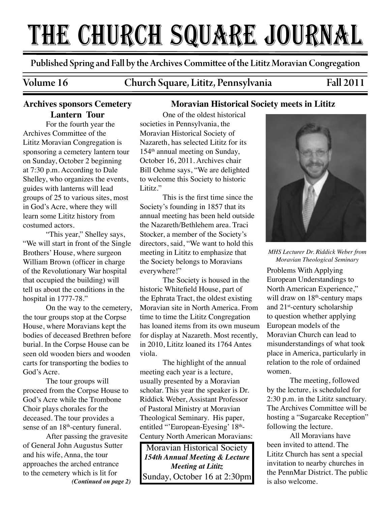# THE CHURCH SQUARE JOURNAL

Published Spring and Fall by the Archives Commi�ee of the Lititz Moravian Congregation

Volume 16 Church Square, Lititz, Pennsylvania Fall 2011

**Moravian Historical Society meets in Lititz**

# **Archives sponsors Cemetery Lantern Tour**

For the fourth year the Archives Committee of the Lititz Moravian Congregation is sponsoring a cemetery lantern tour on Sunday, October 2 beginning at 7:30 p.m. According to Dale Shelley, who organizes the events, guides with lanterns will lead groups of 25 to various sites, most in God's Acre, where they will learn some Lititz history from costumed actors.

"This year," Shelley says, "We will start in front of the Single Brothers' House, where surgeon William Brown (officer in charge of the Revolutionary War hospital that occupied the building) will tell us about the conditions in the hospital in 1777-78."

On the way to the cemetery, the tour groups stop at the Corpse House, where Moravians kept the bodies of deceased Brethren before burial. In the Corpse House can be seen old wooden biers and wooden carts for transporting the bodies to God's Acre.

The tour groups will proceed from the Corpse House to God's Acre while the Trombone Choir plays chorales for the deceased. The tour provides a sense of an 18<sup>th</sup>-century funeral.

After passing the gravesite of General John Augustus Sutter and his wife, Anna, the tour approaches the arched entrance to the cemetery which is lit for *(Continued on page 2)*

## One of the oldest historical societies in Pennsylvania, the Moravian Historical Society of Nazareth, has selected Lititz for its 154th annual meeting on Sunday, October 16, 2011. Archives chair Bill Oehme says, "We are delighted to welcome this Society to historic Lititz."

This is the first time since the Society's founding in 1857 that its annual meeting has been held outside the Nazareth/Bethlehem area. Traci Stocker, a member of the Society's directors, said, "We want to hold this meeting in Lititz to emphasize that the Society belongs to Moravians everywhere!"

The Society is housed in the historic Whitefield House, part of the Ephrata Tract, the oldest existing Moravian site in North America. From time to time the Lititz Congregation has loaned items from its own museum for display at Nazareth. Most recently, in 2010, Lititz loaned its 1764 Antes viola.

The highlight of the annual meeting each year is a lecture, usually presented by a Moravian scholar. This year the speaker is Dr. Riddick Weber, Assistant Professor of Pastoral Ministry at Moravian Theological Seminary. His paper, entitled "'European-Eyesing' 18<sup>th</sup>-Century North American Moravians:

Moravian Historical Society *154th Annual Meeting & Lecture Meeting at Lititz* Sunday, October 16 at 2:30pm



*MHS Lecturer Dr. Riddick Weber from Moravian Theological Seminary*

Problems With Applying European Understandings to North American Experience," will draw on  $18<sup>th</sup>$ -century maps and 21st-century scholarship to question whether applying European models of the Moravian Church can lead to misunderstandings of what took place in America, particularly in relation to the role of ordained women.

The meeting, followed by the lecture, is scheduled for 2:30 p.m. in the Lititz sanctuary. The Archives Committee will be hosting a "Sugarcake Reception" following the lecture.

All Moravians have been invited to attend. The Lititz Church has sent a special invitation to nearby churches in the PennMar District. The public is also welcome.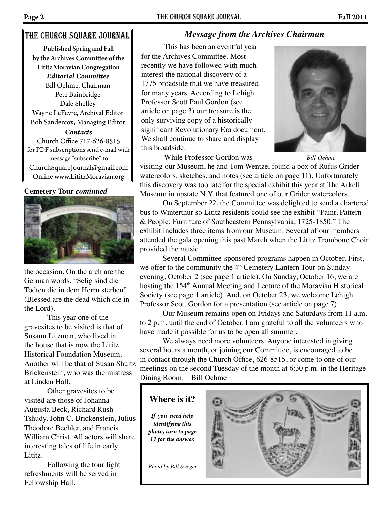# The church square Journal

Published Spring and Fall by the Archives Commi�ee of the Lititz Moravian Congregation *Contacts* Church Office 717-626-8515 for PDF subscriptions send e-mail with message "subscribe" to ChurchSquareJournal@gmail.com Online www.LititzMoravian.org *Editorial Commi�ee* Bill Oehme, Chairman Pete Bainbridge Dale Shelley Wayne LeFevre, Archival Editor Bob Sandercox, Managing Editor

#### **Cemetery Tour** *continued*



the occasion. On the arch are the German words, "Selig sind die Todten die in dem Herrn sterben" (Blessed are the dead which die in the Lord).

This year one of the gravesites to be visited is that of Susann Litzman, who lived in the house that is now the Lititz Historical Foundation Museum. Another will be that of Susan Shultz Brickenstein, who was the mistress at Linden Hall.

Other gravesites to be visited are those of Johanna Augusta Beck, Richard Rush Tshudy, John C. Brickenstein, Julius Theodore Bechler, and Francis William Christ. All actors will share interesting tales of life in early Lititz.

Following the tour light refreshments will be served in Fellowship Hall.

# *Message from the Archives Chairman*

This has been an eventful year for the Archives Committee. Most recently we have followed with much interest the national discovery of a 1775 broadside that we have treasured for many years. According to Lehigh Professor Scott Paul Gordon (see article on page 3) our treasure is the only surviving copy of a historicallysignificant Revolutionary Era document. We shall continue to share and display this broadside.



 While Professor Gordon was *Bill Oehme* visiting our Museum, he and Tom Wentzel found a box of Rufus Grider watercolors, sketches, and notes (see article on page 11). Unfortunately this discovery was too late for the special exhibit this year at The Arkell Museum in upstate N.Y. that featured one of our Grider watercolors.

 On September 22, the Committee was delighted to send a chartered bus to Winterthur so Lititz residents could see the exhibit "Paint, Pattern & People; Furniture of Southeastern Pennsylvania, 1725-1850." The exhibit includes three items from our Museum. Several of our members attended the gala opening this past March when the Lititz Trombone Choir provided the music.

 Several Committee-sponsored programs happen in October. First, we offer to the community the 4<sup>th</sup> Cemetery Lantern Tour on Sunday evening, October 2 (see page 1 article). On Sunday, October 16, we are hosting the 154<sup>th</sup> Annual Meeting and Lecture of the Moravian Historical Society (see page 1 article). And, on October 23, we welcome Lehigh Professor Scott Gordon for a presentation (see article on page 7).

 Our Museum remains open on Fridays and Saturdays from 11 a.m. to 2 p.m. until the end of October. I am grateful to all the volunteers who have made it possible for us to be open all summer.

We always need more volunteers. Anyone interested in giving several hours a month, or joining our Committee, is encouraged to be in contact through the Church Office, 626-8515, or come to one of our meetings on the second Tuesday of the month at 6:30 p.m. in the Heritage Dining Room. Bill Oehme

**Where is it?** *If you need help* 

*identifying this photo, turn to page 11 for the answer.*

*Photo by Bill Sweger*

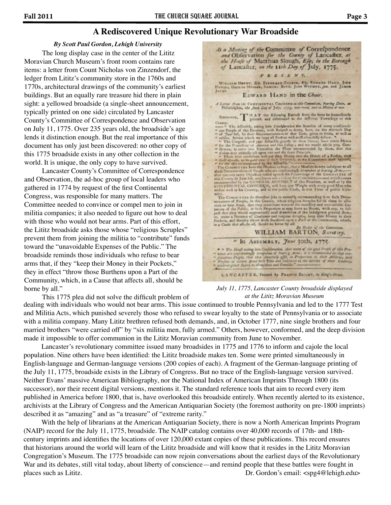## **A Rediscovered Unique Revolutionary War Broadside**

#### *By Scott Paul Gordon, Lehigh University*

The long display case in the center of the Lititz Moravian Church Museum's front room contains rare items: a letter from Count Nicholas von Zinzendorf, the ledger from Lititz's community store in the 1760s and 1770s, architectural drawings of the community's earliest buildings. But an equally rare treasure hid there in plain sight: a yellowed broadside (a single-sheet announcement, typically printed on one side) circulated by Lancaster County's Committee of Correspondence and Observation on July 11, 1775. Over 235 years old, the broadside's age lends it distinction enough. But the real importance of this document has only just been discovered: no other copy of this 1775 broadside exists in any other collection in the world. It is unique, the only copy to have survived.

 Lancaster County's Committee of Correspondence and Observation, the ad-hoc group of local leaders who gathered in 1774 by request of the first Continental Congress, was responsible for many matters. The Committee needed to convince or compel men to join in militia companies; it also needed to figure out how to deal with those who would not bear arms. Part of this effort, the Lititz broadside asks those whose "religious Scruples" prevent them from joining the militia to "contribute" funds toward the "unavoidable Expenses of the Public." The broadside reminds those individuals who refuse to bear arms that, if they "keep their Money in their Pockets," they in effect "throw those Burthens upon a Part of the Community, which, in a Cause that affects all, should be borne by all."

WISLEAM HENNY, ES EVENILLE COURSE, ES ENGAIS HAND, JOEN HENNY, GEORGE MOVES, SANGEL BOYS, JOEN WITHERS, JOE and JANUARY EDWARD HAND in the Chair. A Latter from the Concretence at Concentrate to this Committee, bearing Dete, at Philadelphia, she fack Eng of July, 1775, was read, and at Mains of was Reserves, T If A T the following Estradt from the fame be iconoclinally plants. and different in the different Townships of the Ramaren, T. Pit Affendit, and different from the factors of comparison of the confidence of the factors of comparison of the Propins of the Propins and Park and the Boston of the Boston of the Boston of the Control of the mirring Constant waves die therefore John in examply recommending it to dark Denomination of Prophe, in this County, which religious formula for the dimension of the Angle County, that they constant towards the formula pl By Order of the Cent WILLIAM BARTON, Suretary. " In Assamary, June 30th, 1775. LANGASTER, Printed by FRANCH BALLEY, in King's-Blood,

At a Meeting of the Committee of Correspondence and Obfervation for the County of Lancafter, at the Houfe of Matthias Slough, Efq, in the Borough<br>of Lancalter, on the 11th Day of July, 1775. **PRESSNS**.

*July 11, 1775, Lancaster County broadside displayed at the Lititz Moravian Museum*

This 1775 plea did not solve the difficult problem of

dealing with individuals who would not bear arms. This issue continued to trouble Pennsylvania and led to the 1777 Test and Militia Acts, which punished severely those who refused to swear loyalty to the state of Pennsylvania or to associate with a militia company. Many Lititz brethren refused both demands, and, in October 1777, nine single brothers and four married brothers "were carried off" by "six militia men, fully armed." Others, however, conformed, and the deep division made it impossible to offer communion in the Lititz Moravian community from June to November.

 Lancaster's revolutionary committee issued many broadsides in 1775 and 1776 to inform and cajole the local population. Nine others have been identified: the Lititz broadside makes ten. Some were printed simultaneously in English-language and German-language versions (200 copies of each). A fragment of the German-language printing of the July 11, 1775, broadside exists in the Library of Congress. But no trace of the English-language version survived. Neither Evans' massive American Bibliography, nor the National Index of American Imprints Through 1800 (its successor), nor their recent digital versions, mentions it. The standard reference tools that aim to record every item published in America before 1800, that is, have overlooked this broadside entirely. When recently alerted to its existence, archivists at the Library of Congress and the American Antiquarian Society (the foremost authority on pre-1800 imprints) described it as "amazing" and as "a treasure" of "extreme rarity."

 With the help of librarians at the American Antiquarian Society, there is now a North American Imprints Program (NAIP) record for the July 11, 1775, broadside. The NAIP catalog contains over 40,000 records of 17th- and 18thcentury imprints and identifies the locations of over 120,000 extant copies of these publications. This record ensures that historians around the world will learn of the Lititz broadside and will know that it resides in the Lititz Moravian Congregation's Museum. The 1775 broadside can now rejoin conversations about the earliest days of the Revolutionary War and its debates, still vital today, about liberty of conscience—and remind people that these battles were fought in places such as Lititz. Dr. Gordon's email: <spg4@lehigh.edu>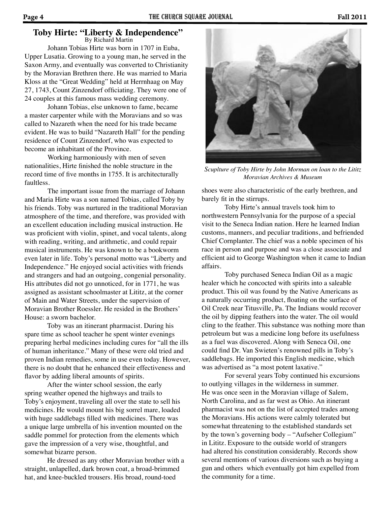#### By Richard Martin **Toby Hirte: "Liberty & Independence"**

Johann Tobias Hirte was born in 1707 in Euba, Upper Lusatia. Growing to a young man, he served in the Saxon Army, and eventually was converted to Christianity by the Moravian Brethren there. He was married to Maria Kloss at the "Great Wedding" held at Herrnhaag on May 27, 1743, Count Zinzendorf officiating. They were one of 24 couples at this famous mass wedding ceremony.

Johann Tobias, else unknown to fame, became a master carpenter while with the Moravians and so was called to Nazareth when the need for his trade became evident. He was to build "Nazareth Hall" for the pending residence of Count Zinzendorf, who was expected to become an inhabitant of the Province.

Working harmoniously with men of seven nationalities, Hirte finished the noble structure in the record time of five months in 1755. It is architecturally faultless.

The important issue from the marriage of Johann and Maria Hirte was a son named Tobias, called Toby by his friends. Toby was nurtured in the traditional Moravian atmosphere of the time, and therefore, was provided with an excellent education including musical instruction. He was proficient with violin, spinet, and vocal talents, along with reading, writing, and arithmetic, and could repair musical instruments. He was known to be a bookworm even later in life. Toby's personal motto was "Liberty and Independence." He enjoyed social activities with friends and strangers and had an outgoing, congenial personality. His attributes did not go unnoticed, for in 1771, he was assigned as assistant schoolmaster at Lititz, at the corner of Main and Water Streets, under the supervision of Moravian Brother Roessler. He resided in the Brothers' House: a sworn bachelor.

 Toby was an itinerant pharmacist. During his spare time as school teacher he spent winter evenings preparing herbal medicines including cures for "all the ills of human inheritance." Many of these were old tried and proven Indian remedies, some in use even today. However, there is no doubt that he enhanced their effectiveness and flavor by adding liberal amounts of spirits.

 After the winter school session, the early spring weather opened the highways and trails to Toby's enjoyment, traveling all over the state to sell his medicines. He would mount his big sorrel mare, loaded with huge saddlebags filled with medicines. There was a unique large umbrella of his invention mounted on the saddle pommel for protection from the elements which gave the impression of a very wise, thoughtful, and somewhat bizarre person.

 He dressed as any other Moravian brother with a straight, unlapelled, dark brown coat, a broad-brimmed hat, and knee-buckled trousers. His broad, round-toed

*Scuplture of Toby Hirte by John Morman on loan to the Lititz Moravian Archives & Museum*

shoes were also characteristic of the early brethren, and barely fit in the stirrups.

 Toby Hirte's annual travels took him to northwestern Pennsylvania for the purpose of a special visit to the Seneca Indian nation. Here he learned Indian customs, manners, and peculiar traditions, and befriended Chief Cornplanter. The chief was a noble specimen of his race in person and purpose and was a close associate and efficient aid to George Washington when it came to Indian affairs.

 Toby purchased Seneca Indian Oil as a magic healer which he concocted with spirits into a saleable product. This oil was found by the Native Americans as a naturally occurring product, floating on the surface of Oil Creek near Titusville, Pa. The Indians would recover the oil by dipping feathers into the water. The oil would cling to the feather. This substance was nothing more than petroleum but was a medicine long before its usefulness as a fuel was discovered. Along with Seneca Oil, one could find Dr. Van Swieten's renowned pills in Toby's saddlebags. He imported this English medicine, which was advertised as "a most potent laxative."

 For several years Toby continued his excursions to outlying villages in the wilderness in summer. He was once seen in the Moravian village of Salem, North Carolina, and as far west as Ohio. An itinerant pharmacist was not on the list of accepted trades among the Moravians. His actions were calmly tolerated but somewhat threatening to the established standards set by the town's governing body – "Aufseher Collegium" in Lititz. Exposure to the outside world of strangers had altered his constitution considerably. Records show several mentions of various diversions such as buying a gun and others which eventually got him expelled from the community for a time.

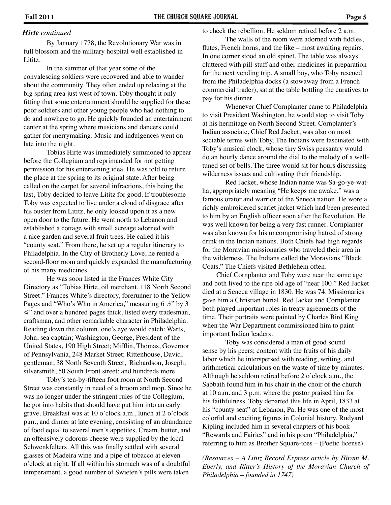#### *Hirte continued*

By January 1778, the Revolutionary War was in full blossom and the military hospital well established in Lititz.

In the summer of that year some of the convalescing soldiers were recovered and able to wander about the community. They often ended up relaxing at the big spring area just west of town. Toby thought it only fitting that some entertainment should be supplied for these poor soldiers and other young people who had nothing to do and nowhere to go. He quickly founded an entertainment center at the spring where musicians and dancers could gather for merrymaking. Music and indulgences went on late into the night.

 Tobias Hirte was immediately summoned to appear before the Collegium and reprimanded for not getting permission for his entertaining idea. He was told to return the place at the spring to its original state. After being called on the carpet for several infractions, this being the last, Toby decided to leave Lititz for good. If troublesome Toby was expected to live under a cloud of disgrace after his ouster from Lititz, he only looked upon it as a new open door to the future. He went north to Lebanon and established a cottage with small acreage adorned with a nice garden and several fruit trees. He called it his "county seat." From there, he set up a regular itinerary to Philadelphia. In the City of Brotherly Love, he rented a second-floor room and quickly expanded the manufacturing of his many medicines.

 He was soon listed in the Frances White City Directory as "Tobias Hirte, oil merchant, 118 North Second Street." Frances White's directory, forerunner to the Yellow Pages and "Who's Who in America," measuring  $6 \frac{1}{2}$ " by 3 ¾" and over a hundred pages thick, listed every tradesman, craftsman, and other remarkable character in Philadelphia. Reading down the column, one's eye would catch: Warts, John, sea captain; Washington, George, President of the United States, 190 High Street; Mifflin, Thomas, Governor of Pennsylvania, 248 Market Street; Rittenhouse, David, gentleman, 38 North Seventh Street, Richardson, Joseph, silversmith, 50 South Front street; and hundreds more.

 Toby's ten-by-fifteen foot room at North Second Street was constantly in need of a broom and mop. Since he was no longer under the stringent rules of the Collegium, he got into habits that should have put him into an early grave. Breakfast was at 10 o'clock a.m., lunch at 2 o'clock p.m., and dinner at late evening, consisting of an abundance of food equal to several men's appetites. Cream, butter, and an offensively odorous cheese were supplied by the local Schwenkfelters. All this was finally settled with several glasses of Madeira wine and a pipe of tobacco at eleven o'clock at night. If all within his stomach was of a doubtful temperament, a good number of Swieten's pills were taken

to check the rebellion. He seldom retired before 2 a.m.

The walls of the room were adorned with fiddles, flutes, French horns, and the like – most awaiting repairs. In one corner stood an old spinet. The table was always cluttered with pill-stuff and other medicines in preparation for the next vending trip. A small boy, who Toby rescued from the Philadelphia docks (a stowaway from a French commercial trader), sat at the table bottling the curatives to pay for his dinner.

 Whenever Chief Cornplanter came to Philadelphia to visit President Washington, he would stop to visit Toby at his hermitage on North Second Street. Cornplanter's Indian associate, Chief Red Jacket, was also on most sociable terms with Toby. The Indians were fascinated with Toby's musical clock, whose tiny Swiss peasantry would do an hourly dance around the dial to the melody of a welltuned set of bells. The three would sit for hours discussing wilderness issues and cultivating their friendship.

 Red Jacket, whose Indian name was Sa-go-ye-watha, appropriately meaning "He keeps me awake," was a famous orator and warrior of the Seneca nation. He wore a richly embroidered scarlet jacket which had been presented to him by an English officer soon after the Revolution. He was well known for being a very fast runner. Cornplanter was also known for his uncompromising hatred of strong drink in the Indian nations. Both Chiefs had high regards for the Moravian missionaries who traveled their area in the wilderness. The Indians called the Moravians "Black Coats." The Chiefs visited Bethlehem often.

 Chief Cornplanter and Toby were near the same age and both lived to the ripe old age of "near 100." Red Jacket died at a Seneca village in 1830. He was 74. Missionaries gave him a Christian burial. Red Jacket and Cornplanter both played important roles in treaty agreements of the time. Their portraits were painted by Charles Bird King when the War Department commissioned him to paint important Indian leaders.

 Toby was considered a man of good sound sense by his peers; content with the fruits of his daily labor which he interspersed with reading, writing, and arithmetical calculations on the waste of time by minutes. Although he seldom retired before 2 o'clock a.m., the Sabbath found him in his chair in the choir of the church at 10 a.m. and 3 p.m. where the pastor praised him for his faithfulness. Toby departed this life in April, 1833 at his "county seat" at Lebanon, Pa. He was one of the most colorful and exciting figures in Colonial history. Rudyard Kipling included him in several chapters of his book "Rewards and Fairies" and in his poem "Philadelphia," referring to him as Brother Square-toes – (Poetic license).

*(Resources – A Lititz Record Express article by Hiram M. Eberly, and Ritter's History of the Moravian Church of Philadelphia – founded in 1747)*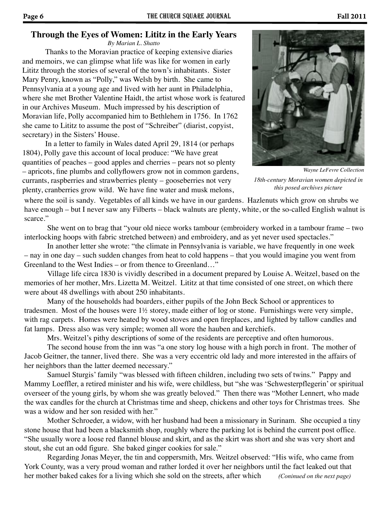# **Through the Eyes of Women: Lititz in the Early Years**

*By Marian L. Shatto*

Thanks to the Moravian practice of keeping extensive diaries and memoirs, we can glimpse what life was like for women in early Lititz through the stories of several of the town's inhabitants. Sister Mary Penry, known as "Polly," was Welsh by birth. She came to Pennsylvania at a young age and lived with her aunt in Philadelphia, where she met Brother Valentine Haidt, the artist whose work is featured in our Archives Museum. Much impressed by his description of Moravian life, Polly accompanied him to Bethlehem in 1756. In 1762 she came to Lititz to assume the post of "Schreiber" (diarist, copyist, secretary) in the Sisters' House.

In a letter to family in Wales dated April 29, 1814 (or perhaps 1804), Polly gave this account of local produce: "We have great quantities of peaches – good apples and cherries – pears not so plenty – apricots, fine plumbs and collyflowers grow not in common gardens, currants, raspberries and strawberries plenty – gooseberries not very plenty, cranberries grow wild. We have fine water and musk melons,



*18th-century Moravian women depicted in this posed archives picture Wayne LeFevre Collection*

where the soil is sandy. Vegetables of all kinds we have in our gardens. Hazlenuts which grow on shrubs we have enough – but I never saw any Filberts – black walnuts are plenty, white, or the so-called English walnut is scarce."

She went on to brag that "your old niece works tambour (embroidery worked in a tambour frame – two interlocking hoops with fabric stretched between) and embroidery, and as yet never used spectacles."

In another letter she wrote: "the climate in Pennsylvania is variable, we have frequently in one week – nay in one day – such sudden changes from heat to cold happens – that you would imagine you went from Greenland to the West Indies – or from thence to Greenland…"

Village life circa 1830 is vividly described in a document prepared by Louise A. Weitzel, based on the memories of her mother, Mrs. Lizetta M. Weitzel. Lititz at that time consisted of one street, on which there were about 48 dwellings with about 250 inhabitants.

Many of the households had boarders, either pupils of the John Beck School or apprentices to tradesmen. Most of the houses were 1½ storey, made either of log or stone. Furnishings were very simple, with rag carpets. Homes were heated by wood stoves and open fireplaces, and lighted by tallow candles and fat lamps. Dress also was very simple; women all wore the hauben and kerchiefs.

Mrs. Weitzel's pithy descriptions of some of the residents are perceptive and often humorous.

The second house from the inn was "a one story log house with a high porch in front. The mother of Jacob Geitner, the tanner, lived there. She was a very eccentric old lady and more interested in the affairs of her neighbors than the latter deemed necessary."

Samuel Sturgis' family "was blessed with fifteen children, including two sets of twins." Pappy and Mammy Loeffler, a retired minister and his wife, were childless, but "she was 'Schwesterpflegerin' or spiritual overseer of the young girls, by whom she was greatly beloved." Then there was "Mother Lennert, who made the wax candles for the church at Christmas time and sheep, chickens and other toys for Christmas trees. She was a widow and her son resided with her."

Mother Schroeder, a widow, with her husband had been a missionary in Surinam. She occupied a tiny stone house that had been a blacksmith shop, roughly where the parking lot is behind the current post office. "She usually wore a loose red flannel blouse and skirt, and as the skirt was short and she was very short and stout, she cut an odd figure. She baked ginger cookies for sale."

Regarding Jonas Meyer, the tin and coppersmith, Mrs. Weitzel observed: "His wife, who came from York County, was a very proud woman and rather lorded it over her neighbors until the fact leaked out that her mother baked cakes for a living which she sold on the streets, after which *(Coninued on the next page)*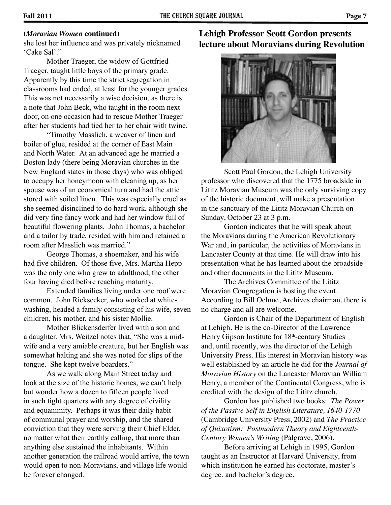### **(***Moravian Women* **continued)**

she lost her influence and was privately nicknamed 'Cake Sal'."

Mother Traeger, the widow of Gottfried Traeger, taught little boys of the primary grade. Apparently by this time the strict segregation in classrooms had ended, at least for the younger grades. This was not necessarily a wise decision, as there is a note that John Beck, who taught in the room next door, on one occasion had to rescue Mother Traeger after her students had tied her to her chair with twine.

"Timothy Masslich, a weaver of linen and boiler of glue, resided at the corner of East Main and North Water. At an advanced age he married a Boston lady (there being Moravian churches in the New England states in those days) who was obliged to occupy her honeymoon with cleaning up, as her spouse was of an economical turn and had the attic stored with soiled linen. This was especially cruel as she seemed disinclined to do hard work, although she did very fine fancy work and had her window full of beautiful flowering plants. John Thomas, a bachelor and a tailor by trade, resided with him and retained a room after Masslich was married."

George Thomas, a shoemaker, and his wife had five children. Of those five, Mrs. Martha Hepp was the only one who grew to adulthood, the other four having died before reaching maturity.

Extended families living under one roof were common. John Ricksecker, who worked at whitewashing, headed a family consisting of his wife, seven children, his mother, and his sister Mollie.

Mother Blickensderfer lived with a son and a daughter. Mrs. Weitzel notes that, "She was a midwife and a very amiable creature, but her English was somewhat halting and she was noted for slips of the tongue. She kept twelve boarders."

As we walk along Main Street today and look at the size of the historic homes, we can't help but wonder how a dozen to fifteen people lived in such tight quarters with any degree of civility and equanimity. Perhaps it was their daily habit of communal prayer and worship, and the shared conviction that they were serving their Chief Elder, no matter what their earthly calling, that more than anything else sustained the inhabitants. Within another generation the railroad would arrive, the town would open to non-Moravians, and village life would be forever changed.

**Lehigh Professor Scott Gordon presents lecture about Moravians during Revolution**



Scott Paul Gordon, the Lehigh University professor who discovered that the 1775 broadside in Lititz Moravian Museum was the only surviving copy of the historic document, will make a presentation in the sanctuary of the Lititz Moravian Church on Sunday, October 23 at 3 p.m.

Gordon indicates that he will speak about the Moravians during the American Revolutionary War and, in particular, the activities of Moravians in Lancaster County at that time. He will draw into his presentation what he has learned about the broadside and other documents in the Lititz Museum.

The Archives Committee of the Lititz Moravian Congregation is hosting the event. According to Bill Oehme, Archives chairman, there is no charge and all are welcome.

Gordon is Chair of the Department of English at Lehigh. He is the co-Director of the Lawrence Henry Gipson Institute for 18<sup>th</sup>-century Studies and, until recently, was the director of the Lehigh University Press. His interest in Moravian history was well established by an article he did for the *Journal of Moravian History* on the Lancaster Moravian William Henry, a member of the Continental Congress, who is credited with the design of the Lititz church.

Gordon has published two books: *The Power of the Passive Self in English Literature, 1640-1770*  (Cambridge University Press, 2002) and *The Practice of Quixotism: Postmodern Theory and Eighteenth-Century Women's Writing* (Palgrave, 2006).

Before arriving at Lehigh in 1995, Gordon taught as an Instructor at Harvard University, from which institution he earned his doctorate, master's degree, and bachelor's degree.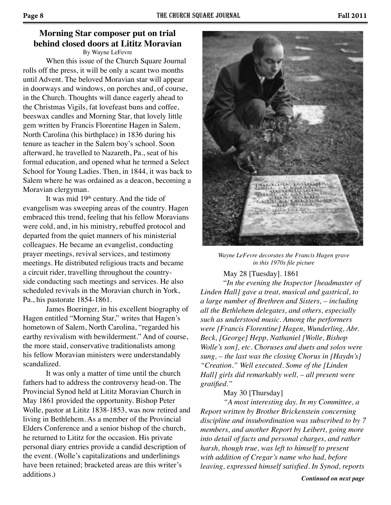## **Morning Star composer put on trial behind closed doors at Lititz Moravian** By Wayne LeFevre

When this issue of the Church Square Journal rolls off the press, it will be only a scant two months until Advent. The beloved Moravian star will appear in doorways and windows, on porches and, of course, in the Church. Thoughts will dance eagerly ahead to the Christmas Vigils, fat lovefeast buns and coffee, beeswax candles and Morning Star, that lovely little gem written by Francis Florentine Hagen in Salem, North Carolina (his birthplace) in 1836 during his tenure as teacher in the Salem boy's school. Soon afterward, he travelled to Nazareth, Pa., seat of his formal education, and opened what he termed a Select School for Young Ladies. Then, in 1844, it was back to Salem where he was ordained as a deacon, becoming a Moravian clergyman.

It was mid 19<sup>th</sup> century. And the tide of evangelism was sweeping areas of the country. Hagen embraced this trend, feeling that his fellow Moravians were cold, and, in his ministry, rebuffed protocol and departed from the quiet manners of his ministerial colleagues. He became an evangelist, conducting prayer meetings, revival services, and testimony meetings. He distributed religious tracts and became a circuit rider, travelling throughout the countryside conducting such meetings and services. He also scheduled revivals in the Moravian church in York, Pa., his pastorate 1854-1861.

James Boeringer, in his excellent biography of Hagen entitled "Morning Star," writes that Hagen's hometown of Salem, North Carolina, "regarded his earthy revivalism with bewilderment." And of course, the more staid, conservative traditionalists among his fellow Moravian ministers were understandably scandalized.

It was only a matter of time until the church fathers had to address the controversy head-on. The Provincial Synod held at Lititz Moravian Church in May 1861 provided the opportunity. Bishop Peter Wolle, pastor at Lititz 1838-1853, was now retired and living in Bethlehem. As a member of the Provincial Elders Conference and a senior bishop of the church, he returned to Lititz for the occasion. His private personal diary entries provide a candid description of the event. (Wolle's capitalizations and underlinings have been retained; bracketed areas are this writer's additions.)



*Wayne LeFevre decorates the Francis Hagen grave in this 1970s file picture*

#### May 28 [Tuesday]. 1861

"*In the evening the Inspector [headmaster of Linden Hall] gave a treat, musical and gastrical, to a large number of Brethren and Sisters, – including all the Bethlehem delegates, and others, especially such as understood music. Among the performers were [Francis Florentine] Hagen, Wunderling, Abr. Beck, [George] Hepp, Nathaniel [Wolle, Bishop Wolle's son], etc. Choruses and duets and solos were sung, – the last was the closing Chorus in [Haydn's] "Creation." Well executed. Some of the [Linden Hall] girls did remarkably well, – all present were gratified."*

#### May 30 [Thursday]

*"A most interesting day. In my Committee, a Report written by Brother Brickenstein concerning discipline and insubordination was subscribed to by 7 members, and another Report by Leibert, going more into detail of facts and personal charges, and rather harsh, though true, was left to himself to present with addition of Cregar's name who had, before leaving, expressed himself satisfied. In Synod, reports*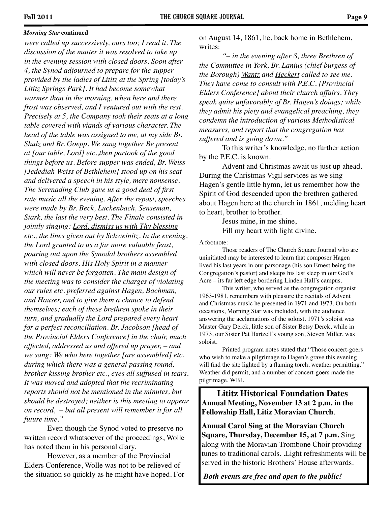#### *Morning Star* **continued**

*were called up successively, ours too; I read it. The discussion of the matter it was resolved to take up in the evening session with closed doors. Soon after 4, the Synod adjourned to prepare for the supper provided by the ladies of Lititz at the Spring [today's Lititz Springs Park]. It had become somewhat warmer than in the morning, when here and there frost was observed, and I ventured out with the rest. Precisely at 5, the Company took their seats at a long table covered with viands of various character. The head of the table was assigned to me, at my side Br. Shulz and Br. Goepp. We sang together Be present at [our table, Lord] etc.,then partook of the good things before us. Before supper was ended, Br. Weiss [Jedediah Weiss of Bethlehem] stood up on his seat and delivered a speech in his style, mere nonsense. The Serenading Club gave us a good deal of first rate music all the evening. After the repast, speeches were made by Br. Beck, Luckenbach, Senseman, Stark, the last the very best. The Finale consisted in jointly singing: Lord, dismiss us with Thy blessing etc., the lines given out by Schweinitz. In the evening, the Lord granted to us a far more valuable feast, pouring out upon the Synodal brothers assembled with closed doors, His Holy Spirit in a manner which will never be forgotten. The main design of the meeting was to consider the charges of violating our rules etc. preferred against Hagen, Bachman, and Hauser, and to give them a chance to defend themselves; each of these brethren spoke in their turn, and gradually the Lord prepared every heart for a perfect reconciliation. Br. Jacobson [head of the Provincial Elders Conference] in the chair, much affected, addressed us and offered up prayer, – and we sang: We who here together [are assembled] etc. during which there was a general passing round, brother kissing brother etc., eyes all suffused in tears. It was moved and adopted that the recriminating reports should not be mentioned in the minutes, but should be destroyed; neither is this meeting to appear on record, – but all present will remember it for all future time."*

Even though the Synod voted to preserve no written record whatsoever of the proceedings, Wolle has noted them in his personal diary.

However, as a member of the Provincial Elders Conference, Wolle was not to be relieved of the situation so quickly as he might have hoped. For on August 14, 1861, he, back home in Bethlehem, writes:

*"– in the evening after 8, three Brethren of the Committee in York, Br. Lanius (chief burgess of the Borough) Wantz and Heckert called to see me. They have come to consult with P.E.C. [Provincial Elders Conference] about their church affairs. They speak quite unfavorably of Br. Hagen's doings; while they admit his piety and evangelical preaching, they condemn the introduction of various Methodistical measures, and report that the congregation has suffered and is going down."*

To this writer's knowledge, no further action by the P.E.C. is known.

Advent and Christmas await us just up ahead. During the Christmas Vigil services as we sing Hagen's gentle little hymn, let us remember how the Spirit of God descended upon the brethren gathered about Hagen here at the church in 1861, melding heart to heart, brother to brother.

> Jesus mine, in me shine, Fill my heart with light divine.

A footnote:

Those readers of The Church Square Journal who are uninitiated may be interested to learn that composer Hagen lived his last years in our parsonage (his son Ernest being the Congregation's pastor) and sleeps his last sleep in our God's Acre – its far left edge bordering Linden Hall's campus.

This writer, who served as the congregation organist 1963-1981, remembers with pleasure the recitals of Advent and Christmas music he presented in 1971 and 1973. On both occasions, Morning Star was included, with the audience answering the acclamations of the soloist. 1971's soloist was Master Gary Derck, little son of Sister Betsy Derck, while in 1973, our Sister Pat Hartzell's young son, Steven Miller, was soloist.

Printed program notes stated that "Those concert-goers who wish to make a pilgrimage to Hagen's grave this evening will find the site lighted by a flaming torch, weather permitting." Weather did permit, and a number of concert-goers made the pilgrimage. WBL

**Lititz Historical Foundation Dates Annual Meeting, November 13 at 2 p.m. in the Fellowship Hall, Litiz Moravian Church**.

**Annual Carol Sing at the Moravian Church Square, Thursday, December 15, at 7 p.m.** Sing along with the Moravian Trombone Choir providing tunes to traditional carols. .Light refreshments will be served in the historic Brothers' House afterwards.

 *Both events are free and open to the public!*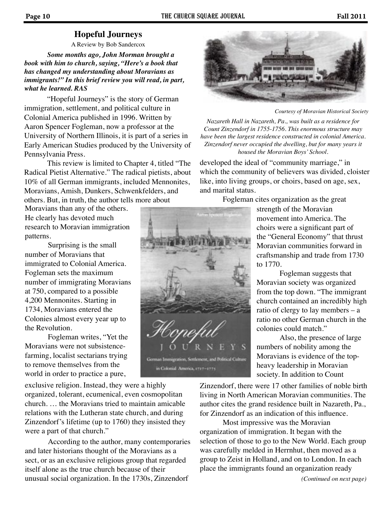# **Hopeful Journeys**

A Review by Bob Sandercox

*Some months ago, John Morman brought a book with him to church, saying, "Here's a book that has changed my understanding about Moravians as immigrants!" In this brief review you will read, in part, what he learned. RAS*

"Hopeful Journeys" is the story of German immigration, settlement, and political culture in Colonial America published in 1996. Written by Aaron Spencer Fogleman, now a professor at the University of Northern Illinois, it is part of a series in Early American Studies produced by the University of Pennsylvania Press.

 This review is limited to Chapter 4, titled "The Radical Pietist Alternative." The radical pietists, about 10% of all German immigrants, included Mennonites, Moravians, Amish, Dunkers, Schwenkfelders, and others. But, in truth, the author tells more about

Moravians than any of the others. He clearly has devoted much research to Moravian immigration patterns.

 Surprising is the small number of Moravians that immigrated to Colonial America. Fogleman sets the maximum number of immigrating Moravians at 750, compared to a possible 4,200 Mennonites. Starting in 1734, Moravians entered the Colonies almost every year up to the Revolution.

 Fogleman writes, "Yet the Moravians were not subsistencefarming, localist sectarians trying to remove themselves from the world in order to practice a pure,

exclusive religion. Instead, they were a highly organized, tolerant, ecumenical, even cosmopolitan church. … the Moravians tried to maintain amicable relations with the Lutheran state church, and during Zinzendorf's lifetime (up to 1760) they insisted they were a part of that church."

According to the author, many contemporaries and later historians thought of the Moravians as a sect, or as an exclusive religious group that regarded itself alone as the true church because of their unusual social organization. In the 1730s, Zinzendorf



*Courtesy of Moravian Historical Society*

*Nazareth Hall in Nazareth, Pa., was built as a residence for Count Zinzendorf in 1755-1756. This enormous structure may have been the largest residence constructed in colonial America. Zinzendorf never occupied the dwelling, but for many years it housed the Moravian Boys' School.*

developed the ideal of "community marriage," in which the community of believers was divided, cloister like, into living groups, or choirs, based on age, sex, and marital status.

Fogleman cites organization as the great



strength of the Moravian movement into America. The choirs were a significant part of the "General Economy" that thrust Moravian communities forward in craftsmanship and trade from 1730 to 1770.

 Fogleman suggests that Moravian society was organized from the top down. "The immigrant church contained an incredibly high ratio of clergy to lay members – a ratio no other German church in the colonies could match."

 Also, the presence of large numbers of nobility among the Moravians is evidence of the topheavy leadership in Moravian society. In addition to Count

Zinzendorf, there were 17 other families of noble birth living in North American Moravian communities. The author cites the grand residence built in Nazareth, Pa., for Zinzendorf as an indication of this influence.

 Most impressive was the Moravian organization of immigration. It began with the selection of those to go to the New World. Each group was carefully melded in Herrnhut, then moved as a group to Zeist in Holland, and on to London. In each place the immigrants found an organization ready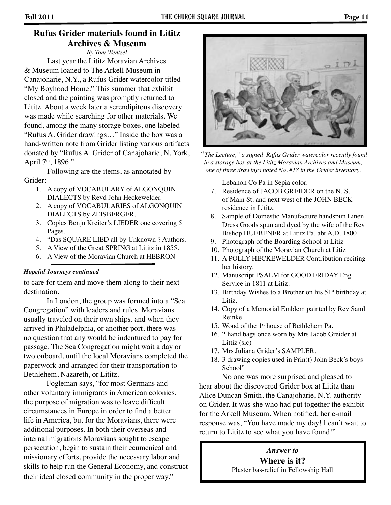# **Rufus Grider materials found in Lititz Archives & Museum**

*By Tom Wentzel*

Last year the Lititz Moravian Archives & Museum loaned to The Arkell Museum in Canajoharie, N.Y., a Rufus Grider watercolor titled "My Boyhood Home." This summer that exhibit closed and the painting was promptly returned to Lititz. About a week later a serendipitous discovery was made while searching for other materials. We found, among the many storage boxes, one labeled "Rufus A. Grider drawings…" Inside the box was a hand-written note from Grider listing various artifacts donated by "Rufus A. Grider of Canajoharie, N. York, April 7<sup>th</sup>, 1896."

Following are the items, as annotated by Grider:

- 1. A copy of VOCABULARY of ALGONQUIN DIALECTS by Revd John Heckewelder.
- 2. A copy of VOCABULARIES of ALGONQUIN DIALECTS by ZEISBERGER.
- 3. Copies Benjn Kreiter's LIEDER one covering 5 Pages.
- 4. "Das SQUARE LIED all by Unknown ? Authors.
- 5. A View of the Great SPRING at Lititz in 1855.
- 6. A View of the Moravian Church at HEBRON

#### *Hopeful Journeys continued*

to care for them and move them along to their next destination.

 In London, the group was formed into a "Sea Congregation" with leaders and rules. Moravians usually traveled on their own ships. and when they arrived in Philadelphia, or another port, there was no question that any would be indentured to pay for passage. The Sea Congregation might wait a day or two onboard, until the local Moravians completed the paperwork and arranged for their transportation to Bethlehem, Nazareth, or Lititz.

 Fogleman says, "for most Germans and other voluntary immigrants in American colonies, the purpose of migration was to leave difficult circumstances in Europe in order to find a better life in America, but for the Moravians, there were additional purposes. In both their overseas and internal migrations Moravians sought to escape persecution, begin to sustain their ecumenical and missionary efforts, provide the necessary labor and skills to help run the General Economy, and construct their ideal closed community in the proper way."



 "*The Lecture," a signed Rufus Grider watercolor recently found in a storage box at the Lititz Moravian Archives and Museum, one of three drawings noted No. #18 in the Grider inventory.*

Lebanon Co Pa in Sepia color.

- 7. Residence of JACOB GREIDER on the N. S. of Main St. and next west of the JOHN BECK residence in Lititz.
- 8. Sample of Domestic Manufacture handspun Linen Dress Goods spun and dyed by the wife of the Rev Bishop HUEBENER at Lititz Pa. abt A.D. 1800
- 9. Photograph of the Boarding School at Litiz
- 10. Photograph of the Moravian Church at Litiz
- 11. A POLLY HECKEWELDER Contribution reciting her history.
- 12. Manuscript PSALM for GOOD FRIDAY Eng Service in 1811 at Litiz.
- 13. Birthday Wishes to a Brother on his  $51<sup>st</sup>$  birthday at Litiz.
- 14. Copy of a Memorial Emblem painted by Rev Saml Reinke.
- 15. Wood of the 1st house of Bethlehem Pa.
- 16. 2 hand bags once worn by Mrs Jacob Greider at Littiz (sic)
- 17. Mrs Juliana Grider's SAMPLER.
- 18. 3 drawing copies used in Prin(t) John Beck's boys School"

No one was more surprised and pleased to hear about the discovered Grider box at Lititz than Alice Duncan Smith, the Canajoharie, N.Y. authority on Grider. It was she who had put together the exhibit for the Arkell Museum. When notified, her e-mail response was, "You have made my day! I can't wait to return to Lititz to see what you have found!"

## *Answer to* **Where is it?** Plaster bas-relief in Fellowship Hall